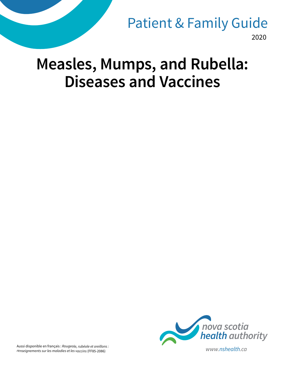# 2020 Patient & Family Guide

# **Measles, Mumps, and Rubella: Diseases and Vaccines**



Aussi disponible en français : *Rougeole, rubéole et oreillons : renseignements sur les maladies et les vaccins* (FF85-2086) *www.nshealth.ca*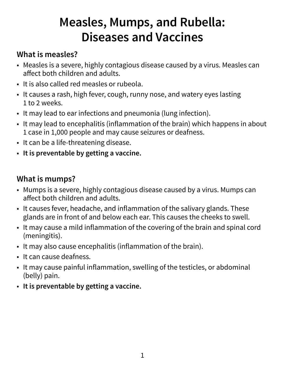# **Measles, Mumps, and Rubella: Diseases and Vaccines**

# **What is measles?**

- Measles is a severe, highly contagious disease caused by a virus. Measles can affect both children and adults.
- It is also called red measles or rubeola.
- It causes a rash, high fever, cough, runny nose, and watery eyes lasting 1 to 2 weeks.
- It may lead to ear infections and pneumonia (lung infection).
- It may lead to encephalitis (inflammation of the brain) which happens in about 1 case in 1,000 people and may cause seizures or deafness.
- It can be a life-threatening disease.
- **It is preventable by getting a vaccine.**

# **What is mumps?**

- Mumps is a severe, highly contagious disease caused by a virus. Mumps can affect both children and adults.
- It causes fever, headache, and inflammation of the salivary glands. These glands are in front of and below each ear. This causes the cheeks to swell.
- It may cause a mild inflammation of the covering of the brain and spinal cord (meningitis).
- It may also cause encephalitis (inflammation of the brain).
- It can cause deafness.
- It may cause painful inflammation, swelling of the testicles, or abdominal (belly) pain.
- **It is preventable by getting a vaccine.**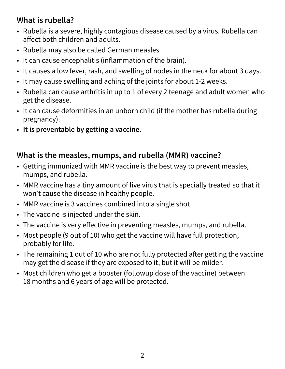# **What is rubella?**

- Rubella is a severe, highly contagious disease caused by a virus. Rubella can affect both children and adults.
- Rubella may also be called German measles.
- It can cause encephalitis (inflammation of the brain).
- It causes a low fever, rash, and swelling of nodes in the neck for about 3 days.
- It may cause swelling and aching of the joints for about 1-2 weeks.
- Rubella can cause arthritis in up to 1 of every 2 teenage and adult women who get the disease.
- It can cause deformities in an unborn child (if the mother has rubella during pregnancy).
- **It is preventable by getting a vaccine.**

#### **What is the measles, mumps, and rubella (MMR) vaccine?**

- Getting immunized with MMR vaccine is the best way to prevent measles, mumps, and rubella.
- MMR vaccine has a tiny amount of live virus that is specially treated so that it won't cause the disease in healthy people.
- MMR vaccine is 3 vaccines combined into a single shot.
- The vaccine is injected under the skin.
- The vaccine is very effective in preventing measles, mumps, and rubella.
- Most people (9 out of 10) who get the vaccine will have full protection, probably for life.
- The remaining 1 out of 10 who are not fully protected after getting the vaccine may get the disease if they are exposed to it, but it will be milder.
- Most children who get a booster (followup dose of the vaccine) between 18 months and 6 years of age will be protected.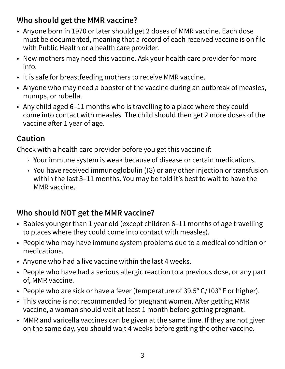# **Who should get the MMR vaccine?**

- Anyone born in 1970 or later should get 2 doses of MMR vaccine. Each dose must be documented, meaning that a record of each received vaccine is on file with Public Health or a health care provider.
- New mothers may need this vaccine. Ask your health care provider for more info.
- It is safe for breastfeeding mothers to receive MMR vaccine.
- Anyone who may need a booster of the vaccine during an outbreak of measles, mumps, or rubella.
- Any child aged 6–11 months who is travelling to a place where they could come into contact with measles. The child should then get 2 more doses of the vaccine after 1 year of age.

# **Caution**

Check with a health care provider before you get this vaccine if:

- › Your immune system is weak because of disease or certain medications.
- › You have received immunoglobulin (IG) or any other injection or transfusion within the last 3–11 months. You may be told it's best to wait to have the MMR vaccine.

# **Who should NOT get the MMR vaccine?**

- Babies younger than 1 year old (except children 6–11 months of age travelling to places where they could come into contact with measles).
- People who may have immune system problems due to a medical condition or medications.
- Anyone who had a live vaccine within the last 4 weeks.
- People who have had a serious allergic reaction to a previous dose, or any part of, MMR vaccine.
- People who are sick or have a fever (temperature of 39.5° C/103° F or higher).
- This vaccine is not recommended for pregnant women. After getting MMR vaccine, a woman should wait at least 1 month before getting pregnant.
- MMR and varicella vaccines can be given at the same time. If they are not given on the same day, you should wait 4 weeks before getting the other vaccine.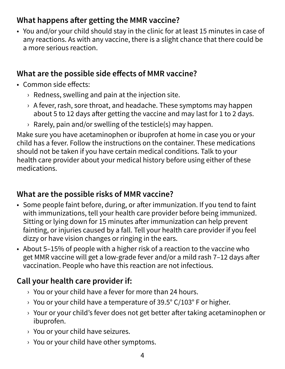#### **What happens after getting the MMR vaccine?**

• You and/or your child should stay in the clinic for at least 15 minutes in case of any reactions. As with any vaccine, there is a slight chance that there could be a more serious reaction.

#### **What are the possible side effects of MMR vaccine?**

- Common side effects:
	- $\rightarrow$  Redness, swelling and pain at the injection site.
	- › A fever, rash, sore throat, and headache. These symptoms may happen about 5 to 12 days after getting the vaccine and may last for 1 to 2 days.
	- $\rightarrow$  Rarely, pain and/or swelling of the testicle(s) may happen.

Make sure you have acetaminophen or ibuprofen at home in case you or your child has a fever. Follow the instructions on the container. These medications should not be taken if you have certain medical conditions. Talk to your health care provider about your medical history before using either of these medications.

#### **What are the possible risks of MMR vaccine?**

- Some people faint before, during, or after immunization. If you tend to faint with immunizations, tell your health care provider before being immunized. Sitting or lying down for 15 minutes after immunization can help prevent fainting, or injuries caused by a fall. Tell your health care provider if you feel dizzy or have vision changes or ringing in the ears.
- About 5–15% of people with a higher risk of a reaction to the vaccine who get MMR vaccine will get a low-grade fever and/or a mild rash 7–12 days after vaccination. People who have this reaction are not infectious.

# **Call your health care provider if:**

- › You or your child have a fever for more than 24 hours.
- $\rightarrow$  You or your child have a temperature of 39.5° C/103° F or higher.
- › Your or your child's fever does not get better after taking acetaminophen or ibuprofen.
- › You or your child have seizures.
- › You or your child have other symptoms.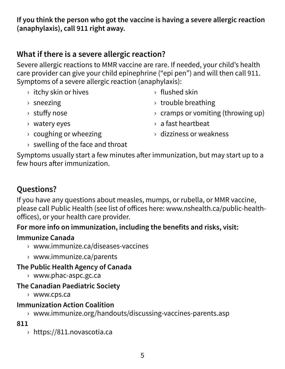**If you think the person who got the vaccine is having a severe allergic reaction (anaphylaxis), call 911 right away.**

#### **What if there is a severe allergic reaction?**

Severe allergic reactions to MMR vaccine are rare. If needed, your child's health care provider can give your child epinephrine ("epi pen") and will then call 911. Symptoms of a severe allergic reaction (anaphylaxis):

- › itchy skin or hives
- › sneezing
- › stuffy nose
- › flushed skin
- › trouble breathing
- $\rightarrow$  cramps or vomiting (throwing up)

- › watery eyes
- › coughing or wheezing
- › a fast heartbeat
- › dizziness or weakness
- › swelling of the face and throat

Symptoms usually start a few minutes after immunization, but may start up to a few hours after immunization.

# **Questions?**

If you have any questions about measles, mumps, or rubella, or MMR vaccine, please call Public Health (see list of offices here: www.nshealth.ca/public-healthoffices), or your health care provider.

#### **For more info on immunization, including the benefits and risks, visit:**

#### **Immunize Canada**

- › www.immunize.ca/diseases-vaccines
- › www.immunize.ca/parents

#### **The Public Health Agency of Canada**

› www.phac-aspc.gc.ca

#### **The Canadian Paediatric Society**

› www.cps.ca

#### **Immunization Action Coalition**

› www.immunize.org/handouts/discussing-vaccines-parents.asp

#### **811**

› https://811.novascotia.ca